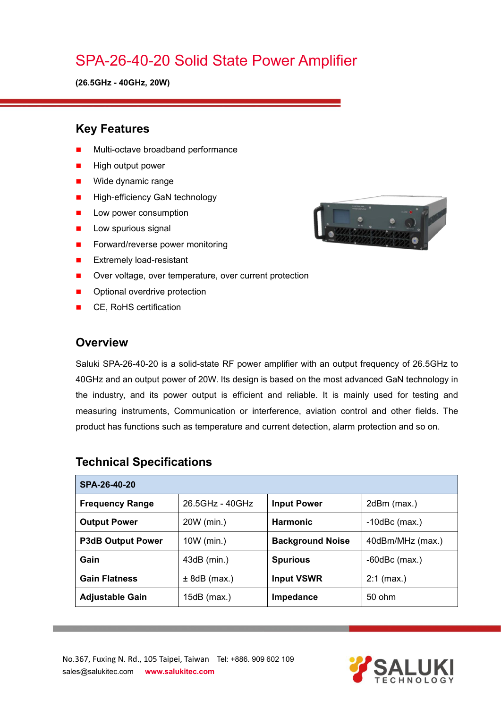# SPA-26-40-20 Solid State Power Amplifier

**(26.5GHz - 40GHz, 20W)**

#### **Key Features**

- Multi-octave broadband performance
- High output power
- **Nide dynamic range**
- **High-efficiency GaN technology**
- **Low power consumption**
- $\blacksquare$  Low spurious signal
- Forward/reverse power monitoring
- **EXtremely load-resistant**
- Over voltage, over temperature, over current protection
- Optional overdrive protection
- CE, RoHS certification

#### **Overview**

Saluki SPA-26-40-20 is a solid-state RF power amplifier with an output frequency of 26.5GHz to 40GHz and an output power of 20W. Its design is based on the most advanced GaN technology in the industry, and its power output is efficient and reliable. It is mainly used for testing and measuring instruments, Communication or interference, aviation control and other fields. The product has functions such as temperature and current detection, alarm protection and so on.

| SPA-26-40-20             |                 |                         |                    |  |
|--------------------------|-----------------|-------------------------|--------------------|--|
| <b>Frequency Range</b>   | 26.5GHz - 40GHz | <b>Input Power</b>      | 2dBm (max.)        |  |
| <b>Output Power</b>      | 20W (min.)      | <b>Harmonic</b>         | $-10$ dBc $(max.)$ |  |
| <b>P3dB Output Power</b> | 10W (min.)      | <b>Background Noise</b> | 40dBm/MHz (max.)   |  |
| Gain                     | $43dB$ (min.)   | <b>Spurious</b>         | $-60$ dBc $(max.)$ |  |
| <b>Gain Flatness</b>     | $± 8dB$ (max.)  | <b>Input VSWR</b>       | $2:1$ (max.)       |  |
| <b>Adjustable Gain</b>   | 15dB (max.)     | Impedance               | $50$ ohm           |  |

### **Technical Specifications**